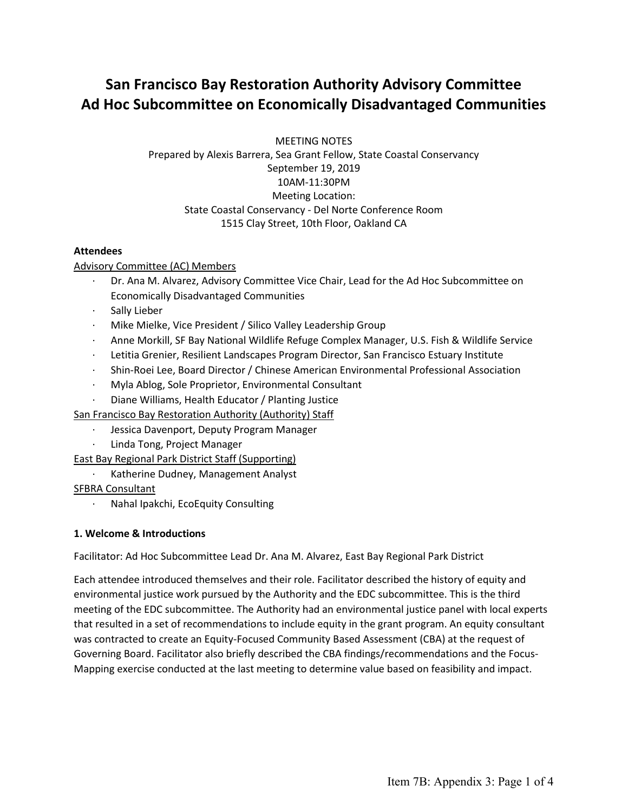# **San Francisco Bay Restoration Authority Advisory Committee Ad Hoc Subcommittee on Economically Disadvantaged Communities**

MEETING NOTES Prepared by Alexis Barrera, Sea Grant Fellow, State Coastal Conservancy September 19, 2019 10AM-11:30PM Meeting Location: State Coastal Conservancy - Del Norte Conference Room 1515 Clay Street, 10th Floor, Oakland CA

## **Attendees**

## Advisory Committee (AC) Members

- · Dr. Ana M. Alvarez, Advisory Committee Vice Chair, Lead for the Ad Hoc Subcommittee on Economically Disadvantaged Communities
- · Sally Lieber
- Mike Mielke, Vice President / Silico Valley Leadership Group
- · Anne Morkill, SF Bay National Wildlife Refuge Complex Manager, U.S. Fish & Wildlife Service
- · Letitia Grenier, Resilient Landscapes Program Director, San Francisco Estuary Institute
- · Shin-Roei Lee, Board Director / Chinese American Environmental Professional Association
- · Myla Ablog, Sole Proprietor, Environmental Consultant
- Diane Williams, Health Educator / Planting Justice

San Francisco Bay Restoration Authority (Authority) Staff

- · Jessica Davenport, Deputy Program Manager
- Linda Tong, Project Manager
- East Bay Regional Park District Staff (Supporting)
	- · Katherine Dudney, Management Analyst

#### SFBRA Consultant

· Nahal Ipakchi, EcoEquity Consulting

#### **1. Welcome & Introductions**

Facilitator: Ad Hoc Subcommittee Lead Dr. Ana M. Alvarez, East Bay Regional Park District

Each attendee introduced themselves and their role. Facilitator described the history of equity and environmental justice work pursued by the Authority and the EDC subcommittee. This is the third meeting of the EDC subcommittee. The Authority had an environmental justice panel with local experts that resulted in a set of recommendations to include equity in the grant program. An equity consultant was contracted to create an Equity-Focused Community Based Assessment (CBA) at the request of Governing Board. Facilitator also briefly described the CBA findings/recommendations and the Focus-Mapping exercise conducted at the last meeting to determine value based on feasibility and impact.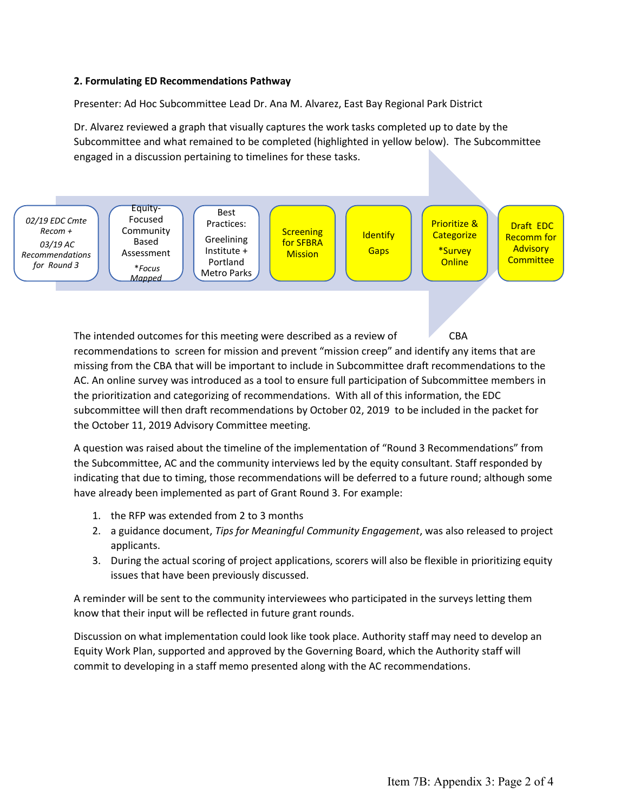#### **2. Formulating ED Recommendations Pathway**

Presenter: Ad Hoc Subcommittee Lead Dr. Ana M. Alvarez, East Bay Regional Park District

Dr. Alvarez reviewed a graph that visually captures the work tasks completed up to date by the Subcommittee and what remained to be completed (highlighted in yellow below). The Subcommittee engaged in a discussion pertaining to timelines for these tasks.



The intended outcomes for this meeting were described as a review of CBA recommendations to screen for mission and prevent "mission creep" and identify any items that are missing from the CBA that will be important to include in Subcommittee draft recommendations to the AC. An online survey was introduced as a tool to ensure full participation of Subcommittee members in the prioritization and categorizing of recommendations. With all of this information, the EDC subcommittee will then draft recommendations by October 02, 2019 to be included in the packet for the October 11, 2019 Advisory Committee meeting.

A question was raised about the timeline of the implementation of "Round 3 Recommendations" from the Subcommittee, AC and the community interviews led by the equity consultant. Staff responded by indicating that due to timing, those recommendations will be deferred to a future round; although some have already been implemented as part of Grant Round 3. For example:

- 1. the RFP was extended from 2 to 3 months
- 2. a guidance document, *Tips for Meaningful Community Engagement*, was also released to project applicants.
- 3. During the actual scoring of project applications, scorers will also be flexible in prioritizing equity issues that have been previously discussed.

A reminder will be sent to the community interviewees who participated in the surveys letting them know that their input will be reflected in future grant rounds.

Discussion on what implementation could look like took place. Authority staff may need to develop an Equity Work Plan, supported and approved by the Governing Board, which the Authority staff will commit to developing in a staff memo presented along with the AC recommendations.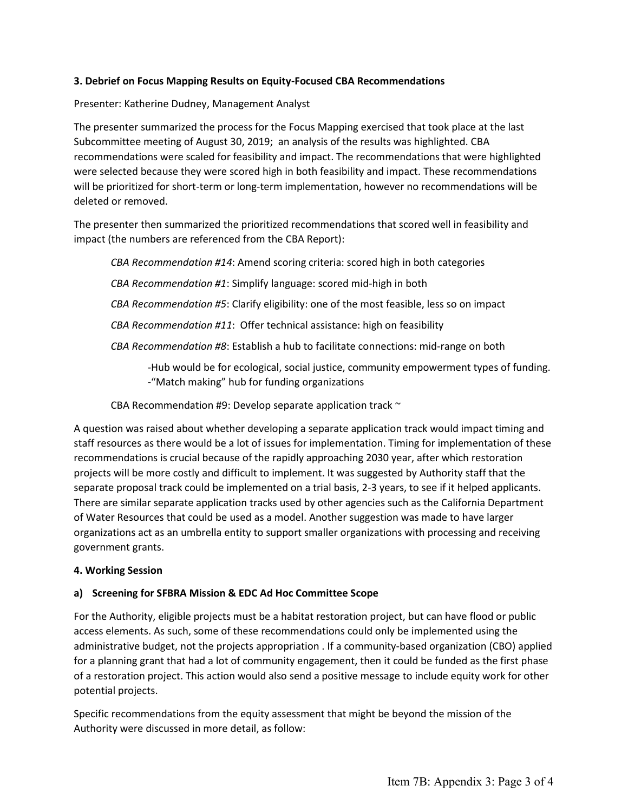## **3. Debrief on Focus Mapping Results on Equity-Focused CBA Recommendations**

#### Presenter: Katherine Dudney, Management Analyst

The presenter summarized the process for the Focus Mapping exercised that took place at the last Subcommittee meeting of August 30, 2019; an analysis of the results was highlighted. CBA recommendations were scaled for feasibility and impact. The recommendations that were highlighted were selected because they were scored high in both feasibility and impact. These recommendations will be prioritized for short-term or long-term implementation, however no recommendations will be deleted or removed.

The presenter then summarized the prioritized recommendations that scored well in feasibility and impact (the numbers are referenced from the CBA Report):

*CBA Recommendation #14*: Amend scoring criteria: scored high in both categories

*CBA Recommendation #1*: Simplify language: scored mid-high in both

*CBA Recommendation #5*: Clarify eligibility: one of the most feasible, less so on impact

*CBA Recommendation #11*: Offer technical assistance: high on feasibility

*CBA Recommendation #8*: Establish a hub to facilitate connections: mid-range on both

-Hub would be for ecological, social justice, community empowerment types of funding. -"Match making" hub for funding organizations

CBA Recommendation #9: Develop separate application track ~

A question was raised about whether developing a separate application track would impact timing and staff resources as there would be a lot of issues for implementation. Timing for implementation of these recommendations is crucial because of the rapidly approaching 2030 year, after which restoration projects will be more costly and difficult to implement. It was suggested by Authority staff that the separate proposal track could be implemented on a trial basis, 2-3 years, to see if it helped applicants. There are similar separate application tracks used by other agencies such as the California Department of Water Resources that could be used as a model. Another suggestion was made to have larger organizations act as an umbrella entity to support smaller organizations with processing and receiving government grants.

#### **4. Working Session**

#### **a) Screening for SFBRA Mission & EDC Ad Hoc Committee Scope**

For the Authority, eligible projects must be a habitat restoration project, but can have flood or public access elements. As such, some of these recommendations could only be implemented using the administrative budget, not the projects appropriation . If a community-based organization (CBO) applied for a planning grant that had a lot of community engagement, then it could be funded as the first phase of a restoration project. This action would also send a positive message to include equity work for other potential projects.

Specific recommendations from the equity assessment that might be beyond the mission of the Authority were discussed in more detail, as follow: